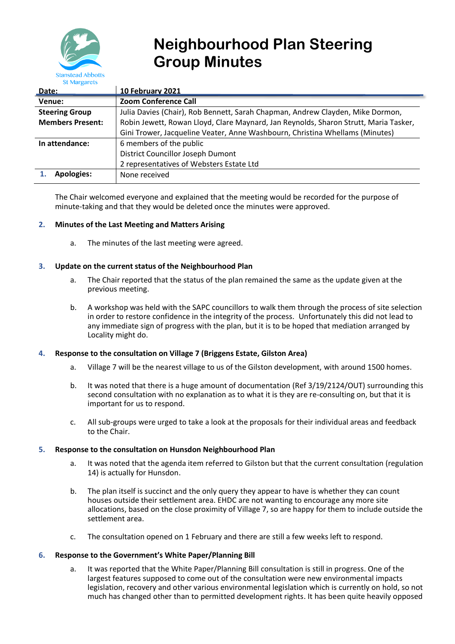

# **Neighbourhood Plan Steering Group Minutes**

| Date:                   | <b>10 February 2021</b>                                                              |
|-------------------------|--------------------------------------------------------------------------------------|
| Venue:                  | <b>Zoom Conference Call</b>                                                          |
| <b>Steering Group</b>   | Julia Davies (Chair), Rob Bennett, Sarah Chapman, Andrew Clayden, Mike Dormon,       |
| <b>Members Present:</b> | Robin Jewett, Rowan Lloyd, Clare Maynard, Jan Reynolds, Sharon Strutt, Maria Tasker, |
|                         | Gini Trower, Jacqueline Veater, Anne Washbourn, Christina Whellams (Minutes)         |
| In attendance:          | 6 members of the public                                                              |
|                         | <b>District Councillor Joseph Dumont</b>                                             |
|                         | 2 representatives of Websters Estate Ltd                                             |
| <b>Apologies:</b>       | None received                                                                        |

The Chair welcomed everyone and explained that the meeting would be recorded for the purpose of minute-taking and that they would be deleted once the minutes were approved.

# **2. Minutes of the Last Meeting and Matters Arising**

a. The minutes of the last meeting were agreed.

# **3. Update on the current status of the Neighbourhood Plan**

- a. The Chair reported that the status of the plan remained the same as the update given at the previous meeting.
- b. A workshop was held with the SAPC councillors to walk them through the process of site selection in order to restore confidence in the integrity of the process. Unfortunately this did not lead to any immediate sign of progress with the plan, but it is to be hoped that mediation arranged by Locality might do.

## **4. Response to the consultation on Village 7 (Briggens Estate, Gilston Area)**

- a. Village 7 will be the nearest village to us of the Gilston development, with around 1500 homes.
- b. It was noted that there is a huge amount of documentation (Ref 3/19/2124/OUT) surrounding this second consultation with no explanation as to what it is they are re-consulting on, but that it is important for us to respond.
- c. All sub-groups were urged to take a look at the proposals for their individual areas and feedback to the Chair.

## **5. Response to the consultation on Hunsdon Neighbourhood Plan**

- a. It was noted that the agenda item referred to Gilston but that the current consultation (regulation 14) is actually for Hunsdon.
- b. The plan itself is succinct and the only query they appear to have is whether they can count houses outside their settlement area. EHDC are not wanting to encourage any more site allocations, based on the close proximity of Village 7, so are happy for them to include outside the settlement area.
- c. The consultation opened on 1 February and there are still a few weeks left to respond.

## **6. Response to the Government's White Paper/Planning Bill**

a. It was reported that the White Paper/Planning Bill consultation is still in progress. One of the largest features supposed to come out of the consultation were new environmental impacts legislation, recovery and other various environmental legislation which is currently on hold, so not much has changed other than to permitted development rights. It has been quite heavily opposed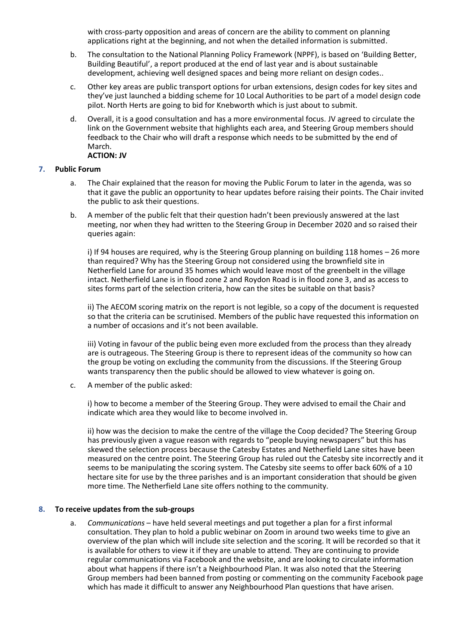with cross-party opposition and areas of concern are the ability to comment on planning applications right at the beginning, and not when the detailed information is submitted.

- b. The consultation to the National Planning Policy Framework (NPPF), is based on 'Building Better, Building Beautiful', a report produced at the end of last year and is about sustainable development, achieving well designed spaces and being more reliant on design codes..
- c. Other key areas are public transport options for urban extensions, design codes for key sites and they've just launched a bidding scheme for 10 Local Authorities to be part of a model design code pilot. North Herts are going to bid for Knebworth which is just about to submit.
- d. Overall, it is a good consultation and has a more environmental focus. JV agreed to circulate the link on the Government website that highlights each area, and Steering Group members should feedback to the Chair who will draft a response which needs to be submitted by the end of March. **ACTION: JV**

#### **7. Public Forum**

- a. The Chair explained that the reason for moving the Public Forum to later in the agenda, was so that it gave the public an opportunity to hear updates before raising their points. The Chair invited the public to ask their questions.
- b. A member of the public felt that their question hadn't been previously answered at the last meeting, nor when they had written to the Steering Group in December 2020 and so raised their queries again:

i) If 94 houses are required, why is the Steering Group planning on building 118 homes – 26 more than required? Why has the Steering Group not considered using the brownfield site in Netherfield Lane for around 35 homes which would leave most of the greenbelt in the village intact. Netherfield Lane is in flood zone 2 and Roydon Road is in flood zone 3, and as access to sites forms part of the selection criteria, how can the sites be suitable on that basis?

ii) The AECOM scoring matrix on the report is not legible, so a copy of the document is requested so that the criteria can be scrutinised. Members of the public have requested this information on a number of occasions and it's not been available.

iii) Voting in favour of the public being even more excluded from the process than they already are is outrageous. The Steering Group is there to represent ideas of the community so how can the group be voting on excluding the community from the discussions. If the Steering Group wants transparency then the public should be allowed to view whatever is going on.

c. A member of the public asked:

i) how to become a member of the Steering Group. They were advised to email the Chair and indicate which area they would like to become involved in.

ii) how was the decision to make the centre of the village the Coop decided? The Steering Group has previously given a vague reason with regards to "people buying newspapers" but this has skewed the selection process because the Catesby Estates and Netherfield Lane sites have been measured on the centre point. The Steering Group has ruled out the Catesby site incorrectly and it seems to be manipulating the scoring system. The Catesby site seems to offer back 60% of a 10 hectare site for use by the three parishes and is an important consideration that should be given more time. The Netherfield Lane site offers nothing to the community.

## **8. To receive updates from the sub-groups**

a. *Communications* – have held several meetings and put together a plan for a first informal consultation. They plan to hold a public webinar on Zoom in around two weeks time to give an overview of the plan which will include site selection and the scoring. It will be recorded so that it is available for others to view it if they are unable to attend. They are continuing to provide regular communications via Facebook and the website, and are looking to circulate information about what happens if there isn't a Neighbourhood Plan. It was also noted that the Steering Group members had been banned from posting or commenting on the community Facebook page which has made it difficult to answer any Neighbourhood Plan questions that have arisen.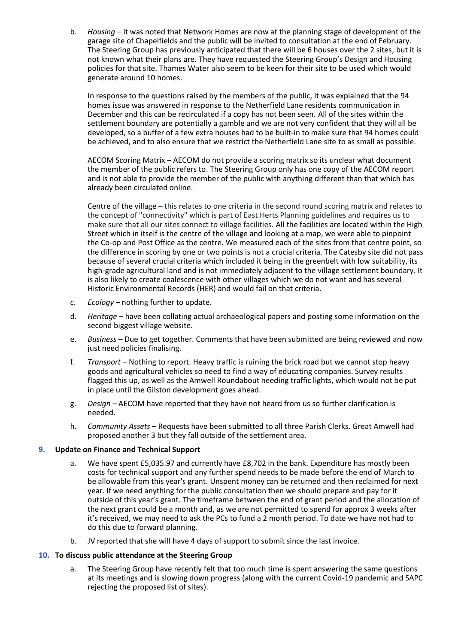b. *Housing* – it was noted that Network Homes are now at the planning stage of development of the garage site of Chapelfields and the public will be invited to consultation at the end of February. The Steering Group has previously anticipated that there will be 6 houses over the 2 sites, but it is not known what their plans are. They have requested the Steering Group's Design and Housing policies for that site. Thames Water also seem to be keen for their site to be used which would generate around 10 homes.

In response to the questions raised by the members of the public, it was explained that the 94 homes issue was answered in response to the Netherfield Lane residents communication in December and this can be recirculated if a copy has not been seen. All of the sites within the settlement boundary are potentially a gamble and we are not very confident that they will all be developed, so a buffer of a few extra houses had to be built-in to make sure that 94 homes could be achieved, and to also ensure that we restrict the Netherfield Lane site to as small as possible.

AECOM Scoring Matrix – AECOM do not provide a scoring matrix so its unclear what document the member of the public refers to. The Steering Group only has one copy of the AECOM report and is not able to provide the member of the public with anything different than that which has already been circulated online.

Centre of the village – this relates to one criteria in the second round scoring matrix and relates to the concept of "connectivity" which is part of East Herts Planning guidelines and requires us to make sure that all our sites connect to village facilities. All the facilities are located within the High Street which in itself is the centre of the village and looking at a map, we were able to pinpoint the Co-op and Post Office as the centre. We measured each of the sites from that centre point, so the difference in scoring by one or two points is not a crucial criteria. The Catesby site did not pass because of several crucial criteria which included it being in the greenbelt with low suitability, its high-grade agricultural land and is not immediately adjacent to the village settlement boundary. It is also likely to create coalescence with other villages which we do not want and has several Historic Environmental Records (HER) and would fail on that criteria.

- c. *Ecology* nothing further to update.
- d. *Heritage* have been collating actual archaeological papers and posting some information on the second biggest village website.
- e. *Business* Due to get together. Comments that have been submitted are being reviewed and now just need policies finalising.
- f. *Transport* Nothing to report. Heavy traffic is ruining the brick road but we cannot stop heavy goods and agricultural vehicles so need to find a way of educating companies. Survey results flagged this up, as well as the Amwell Roundabout needing traffic lights, which would not be put in place until the Gilston development goes ahead.
- g. *Design* AECOM have reported that they have not heard from us so further clarification is needed.
- h. *Community Assets* Requests have been submitted to all three Parish Clerks. Great Amwell had proposed another 3 but they fall outside of the settlement area.

## **9. Update on Finance and Technical Support**

- a. We have spent £5,035.97 and currently have £8,702 in the bank. Expenditure has mostly been costs for technical support and any further spend needs to be made before the end of March to be allowable from this year's grant. Unspent money can be returned and then reclaimed for next year. If we need anything for the public consultation then we should prepare and pay for it outside of this year's grant. The timeframe between the end of grant period and the allocation of the next grant could be a month and, as we are not permitted to spend for approx 3 weeks after it's received, we may need to ask the PCs to fund a 2 month period. To date we have not had to do this due to forward planning.
- b. JV reported that she will have 4 days of support to submit since the last invoice.

## **10. To discuss public attendance at the Steering Group**

a. The Steering Group have recently felt that too much time is spent answering the same questions at its meetings and is slowing down progress (along with the current Covid-19 pandemic and SAPC rejecting the proposed list of sites).